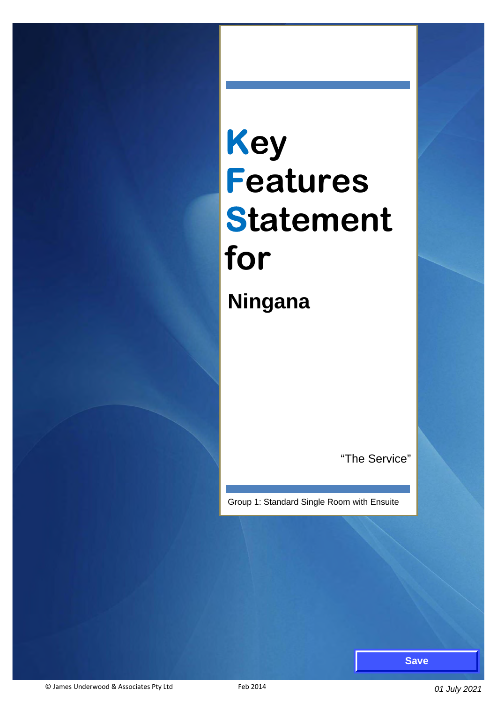# **Key Features Statement for Ningana**

"The Service"

Group 1: Standard Single Room with Ensuite

**Save**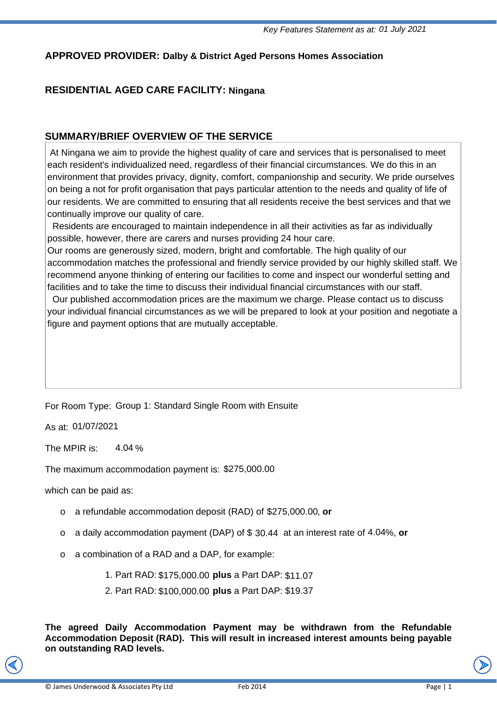#### **APPROVED PROVIDER: Dalby & District Aged Persons Homes Association**

#### **RESIDENTIAL AGED CARE FACILITY: Ningana**

#### **SUMMARY/BRIEF OVERVIEW OF THE SERVICE**

 At Ningana we aim to provide the highest quality of care and services that is personalised to meet each resident's individualized need, regardless of their financial circumstances. We do this in an environment that provides privacy, dignity, comfort, companionship and security. We pride ourselves on being a not for profit organisation that pays particular attention to the needs and quality of life of our residents. We are committed to ensuring that all residents receive the best services and that we continually improve our quality of care.

 Residents are encouraged to maintain independence in all their activities as far as individually possible, however, there are carers and nurses providing 24 hour care.

Our rooms are generously sized, modern, bright and comfortable. The high quality of our accommodation matches the professional and friendly service provided by our highly skilled staff. We recommend anyone thinking of entering our facilities to come and inspect our wonderful setting and facilities and to take the time to discuss their individual financial circumstances with our staff.

 Our published accommodation prices are the maximum we charge. Please contact us to discuss your individual financial circumstances as we will be prepared to look at your position and negotiate a figure and payment options that are mutually acceptable.

For Room Type: Group 1: Standard Single Room with Ensuite

As at: 01/07/2021<br>The MPIR is: 4.04 The MPIR is:  $4.04\%$ 

The maximum accommodation payment is: \$275,000.00

which can be paid as:

- *E* maximum accommodation payment is: \$275,000.00<br>ch can be paid as:<br>○ a refundable accommodation deposit (RAD) of \$275,000.00, **or**
- o a daily accommodation payment (DAP) of \$30.44 at an interest rate of 4.04%, or
- o a combination of a RAD and a DAP, for example:
	- 1. Part RAD: \$175,000.00 **plus** a Part DAP: \$11.07
	- 2. Part RAD: \$100,000.00 **plus** a Part DAP: \$19.37

**The agreed Daily Accommodation Payment may be withdrawn from the Refundable Accommodation Deposit (RAD). This will result in increased interest amounts being payable on outstanding RAD levels.**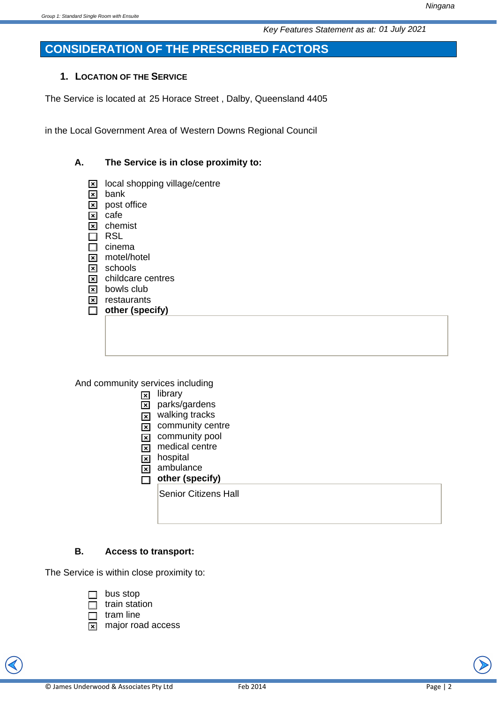# **CONSIDERATION OF THE PRESCRIBED FACTORS**

## **1. LOCATION OF THE SERVICE**

The Service is located at 25 Horace Street , Dalby, Queensland 4405

in the Local Government Area of Western Downs Regional Council

## **A. The Service is in close proximity to:**

- $\boxtimes$  local shopping village/centre
- $\boxed{\mathbf{x}}$  bank
- $\boxed{\mathbf{x}}$  post office
- $\boxed{\mathbf{x}}$  cafe
- $\boxed{\mathbf{x}}$  chemist  $\Box$  RSL
- $\Box$  cinema
- **x** motel/hotel
- $\boxed{\mathbf{x}}$  schools
- $\boxed{\mathbf{x}}$  childcare centres
- $\boxed{\mathbf{x}}$  bowls club
- $\boxed{\mathbf{x}}$  restaurants
- □ other (specify)

And community services including

- $\boxed{\mathbf{x}}$  library
- $\overline{\mathbf{x}}$  parks/gardens
- $\overline{\mathbf{x}}$  walking tracks
- $\overline{\mathbf{x}}$  community centre
- $\overline{\mathbf{x}}$  community pool
- $\overline{\mathbf{x}}$  medical centre
- $x$  hospital
- $\overline{\mathbf{x}}$  ambulance
- **D** other (specify)

Senior Citizens Hall

## **B. Access to transport:**

The Service is within close proximity to:

- $\Box$  bus stop
- $\Box$  train station
- $\Box$  tram line
- $\boxed{\mathbf{x}}$  major road access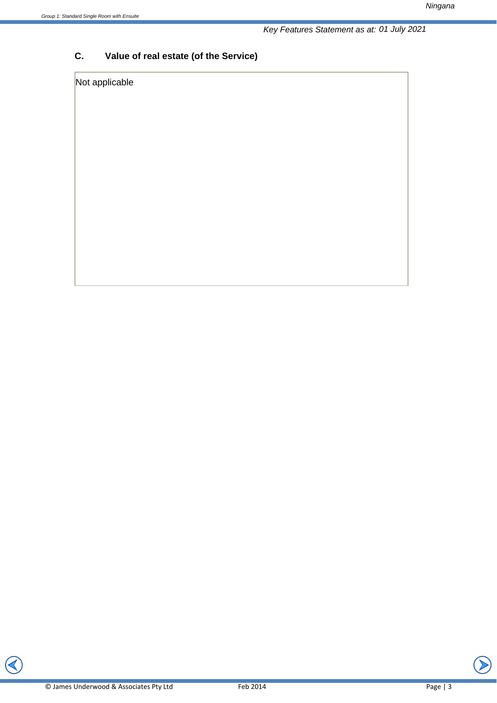*Ningana* 

# **C. Value of real estate (of the Service)**

## Not applicable

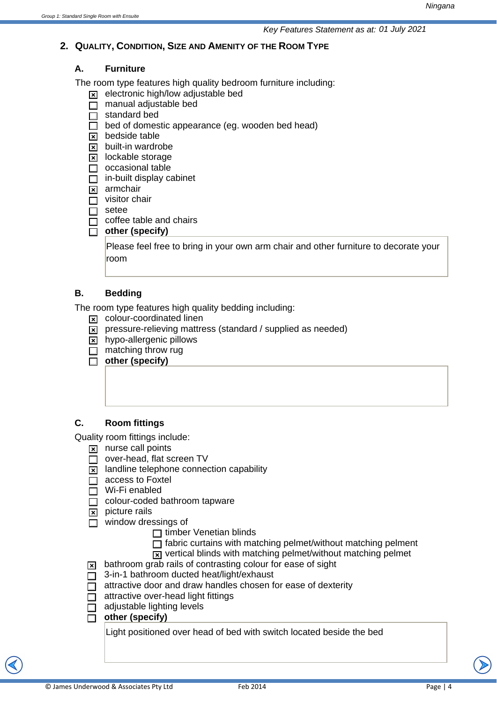#### **2. QUALITY, CONDITION, SIZE AND AMENITY OF THE ROOM TYPE**

#### **A. Furniture**

The room type features high quality bedroom furniture including:

- $\overline{\mathbf{x}}$  electronic high/low adjustable bed
- $\overline{\Box}$  manual adjustable bed
- $\Box$  standard bed
- $\overline{\Box}$  bed of domestic appearance (eg. wooden bed head)
- $\boxtimes$  bedside table
- $\boxed{\mathbf{x}}$  built-in wardrobe
- $\boxed{\mathbf{x}}$  lockable storage
- $\Box$  occasional table
- $\Box$  in-built display cabinet
- $\boxed{\mathbf{x}}$  armchair
- $\Box$  visitor chair
- $\Box$  setee
- $\Box$  coffee table and chairs
- □ other (specify)

Please feel free to bring in your own arm chair and other furniture to decorate your room

#### **B. Bedding**

The room type features high quality bedding including:

- $\boxed{\mathbf{x}}$  colour-coordinated linen
- $\overline{x}$  pressure-relieving mattress (standard / supplied as needed)
- $\overline{\mathbf{x}}$  hypo-allergenic pillows
- $\Box$  matching throw rug
- $\overline{\Box}$  other (specify)

#### **C. Room fittings**

Quality room fittings include:

- $\boxed{\mathbf{x}}$  nurse call points
- $\Box$  over-head, flat screen TV
- $\boxed{\mathbf{x}}$  landline telephone connection capability
- $\overline{\Box}$  access to Foxtel
- $\Box$  Wi-Fi enabled
- $\Box$  colour-coded bathroom tapware
- $\boxed{\mathbf{x}}$  picture rails
- $\Box$  window dressings of
	- $\Box$  timber Venetian blinds
	- $\Box$  fabric curtains with matching pelmet/without matching pelment
	- $\overline{x}$  vertical blinds with matching pelmet/without matching pelmet
- $\overline{x}$  bathroom grab rails of contrasting colour for ease of sight
- $\Box$  3-in-1 bathroom ducted heat/light/exhaust
- $\overline{\Box}$  attractive door and draw handles chosen for ease of dexterity
- $\Box$  attractive over-head light fittings
- $\Box$  adjustable lighting levels
- □ other (specify)

Light positioned over head of bed with switch located beside the bed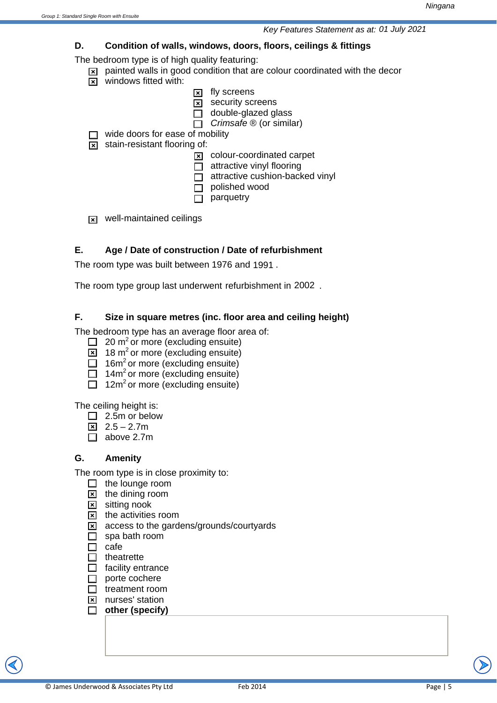## **D. Condition of walls, windows, doors, floors, ceilings & fittings**

The bedroom type is of high quality featuring:

- $\boxed{\mathbf{x}}$  painted walls in good condition that are colour coordinated with the decor
- $\boxed{\mathbf{x}}$  windows fitted with:
	- $\boxed{\mathbf{x}}$  fly screens
	- $\boxed{\mathbf{x}}$  security screens
	- $\Box$  double-glazed glass
	- □ *Crimsafe* ® (or similar)

 $\Box$  wide doors for ease of mobility

 $\boxed{\times}$  stain-resistant flooring of:

- $\boxed{\mathbf{x}}$  colour-coordinated carpet
- $\Box$  attractive vinyl flooring
- $\Box$  attractive cushion-backed vinyl
- $\Box$  polished wood
- $\Box$  parquetry
- $\overline{\mathbf{x}}$  well-maintained ceilings

# **E. Age / Date of construction / Date of refurbishment**

The room type was built between 1976 and 1991.

The room type group last underwent refurbishment in 2002.

## **F. Size in square metres (inc. floor area and ceiling height)**

The bedroom type has an average floor area of:

- $\Box$  20 m<sup>2</sup> or more (excluding ensuite)
- $\boxed{\times}$  18 m<sup>2</sup> or more (excluding ensuite)
- $\Box$  16m<sup>2</sup> or more (excluding ensuite)
- $\Box$  14m<sup>2</sup> or more (excluding ensuite)
- $\Box$  12m<sup>2</sup> or more (excluding ensuite)

The ceiling height is:

- $\Box$  2.5m or below
- $\boxed{2.5 2.7m}$
- $\Box$  above 2.7m

## **G. Amenity**

The room type is in close proximity to:

- $\Box$  the lounge room
- $\boxed{\mathbf{x}}$  the dining room
- $\boxed{\times}$  sitting nook
- $\boxtimes$  the activities room
- $\overline{\mathbf{x}}$  access to the gardens/grounds/courtyards
- $\Box$  spa bath room
- $\Box$  cafe
- $\Box$  theatrette
- $\Box$  facility entrance
- $\Box$  porte cochere
- $\Box$  treatment room
- **x** nurses' station
- □ other (specify)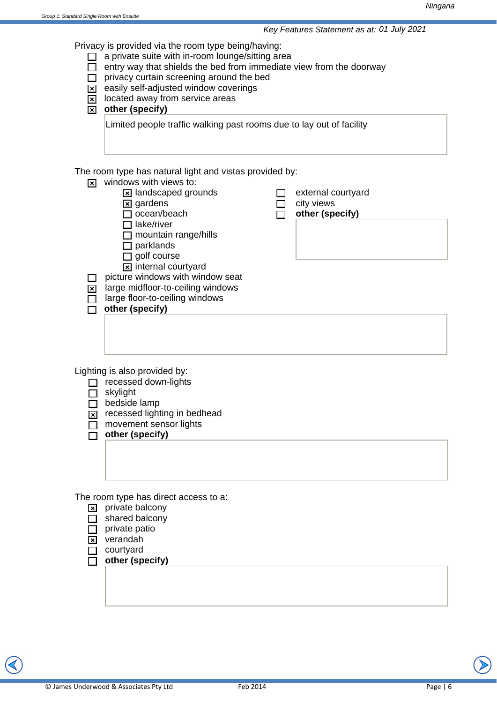Privacy is provided via the room type being/having:

- $\Box$  a private suite with in-room lounge/sitting area
- $\Box$  entry way that shields the bed from immediate view from the doorway
- $\Box$  privacy curtain screening around the bed
- $\overline{\mathbf{x}}$  easily self-adjusted window coverings
- $\boxed{\mathbf{x}}$  located away from service areas
- **x** other (specify)

Limited people traffic walking past rooms due to lay out of facility

The room type has natural light and vistas provided by:

- $\overline{\mathbf{x}}$  windows with views to:
	- $\boxed{\mathbf{x}}$  landscaped grounds
	- $\boxtimes$  gardens
	- $\Box$  ocean/beach
	- $\Box$  lake/river
	- $\Box$  mountain range/hills
	- $\Box$  parklands
	- $\Box$  golf course
	- $\boxed{\mathbf{x}}$  internal courtyard
- $\Box$  picture windows with window seat
- $\overline{\mathbf{x}}$  large midfloor-to-ceiling windows
- $\Box$  large floor-to-ceiling windows
- $\overline{\Box}$  other (specify)
- $\Box$  external courtyard
	- city views
	- o **other (specify)**

Lighting is also provided by:

 $\Box$  recessed down-lights

 $\Box$  skylight

 $\Box$  bedside lamp

- $\overline{\mathbf{x}}$  recessed lighting in bedhead
- $\Box$  movement sensor lights
- $\overline{\Box}$  other (specify)

The room type has direct access to a:

- $\boxed{\mathbf{x}}$  private balcony
- $\Box$  shared balcony
- $\Box$  private patio
- $\boxed{\mathbf{x}}$  verandah
- $\Box$  courtyard
- o **other (specify)**

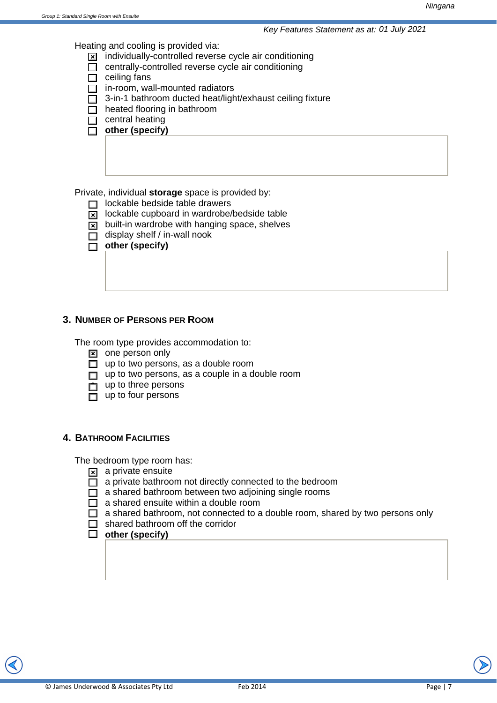Heating and cooling is provided via:

- $\Sigma$  individually-controlled reverse cycle air conditioning
- $\Box$  centrally-controlled reverse cycle air conditioning
- $\Box$  ceiling fans
- $\Box$  in-room, wall-mounted radiators
- $\Box$  3-in-1 bathroom ducted heat/light/exhaust ceiling fixture
- $\Box$  heated flooring in bathroom
- $\Box$  central heating
- **D** other (specify)

Private, individual **storage** space is provided by:

- $\Box$  lockable bedside table drawers
- $\overline{\mathbf{x}}$  lockable cupboard in wardrobe/bedside table
- $\overline{\mathbf{x}}$  built-in wardrobe with hanging space, shelves
- $\Box$  display shelf / in-wall nook
- $\overline{\Box}$  other (specify)

#### **3. NUMBER OF PERSONS PER ROOM**

The room type provides accommodation to:

- $\boxed{\mathbf{x}}$  one person only
- $\Box$  up to two persons, as a double room
- $\Box$  up to two persons, as a couple in a double room
- $\Box$  up to three persons
- $\overline{\Box}$  up to four persons

#### **4. BATHROOM FACILITIES**

The bedroom type room has:

- $\overline{\mathbf{x}}$  a private ensuite
- $\overline{\Box}$  a private bathroom not directly connected to the bedroom
- $\Box$  a shared bathroom between two adjoining single rooms
- $\Box$  a shared ensuite within a double room
- $\Box$  a shared bathroom, not connected to a double room, shared by two persons only
- $\Box$  shared bathroom off the corridor

#### □ other (specify)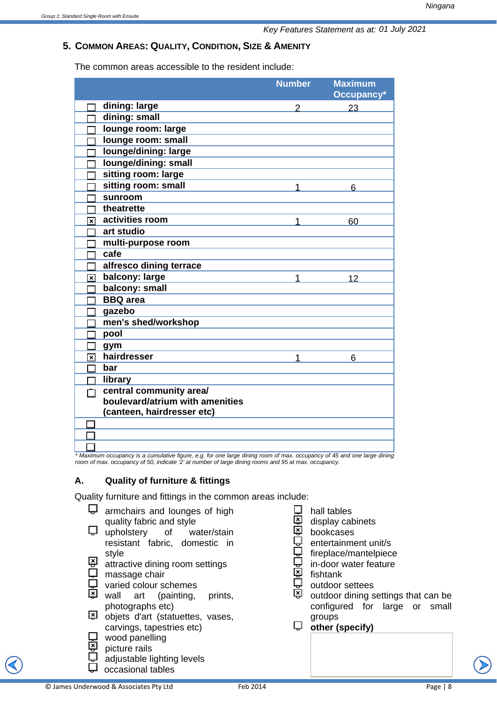#### **5. COMMON AREAS: QUALITY, CONDITION, SIZE & AMENITY**

The common areas accessible to the resident include:

|                                            | <b>Number</b> | <b>Maximum</b><br>Occupancy* |
|--------------------------------------------|---------------|------------------------------|
| dining: large                              |               | 23                           |
| dining: small                              |               |                              |
| lounge room: large                         |               |                              |
| lounge room: small                         |               |                              |
| lounge/dining: large                       |               |                              |
| lounge/dining: small                       |               |                              |
| sitting room: large                        |               |                              |
| sitting room: small                        |               | 6                            |
| sunroom                                    |               |                              |
| theatrette                                 |               |                              |
| activities room<br>$\overline{\mathbf{x}}$ |               | 60                           |
| art studio                                 |               |                              |
| multi-purpose room                         |               |                              |
| cafe                                       |               |                              |
| alfresco dining terrace                    |               |                              |
| balcony: large<br>স                        |               | 12                           |
| balcony: small                             |               |                              |
| <b>BBQ</b> area                            |               |                              |
| gazebo                                     |               |                              |
| men's shed/workshop                        |               |                              |
| pool                                       |               |                              |
| gym                                        |               |                              |
| hairdresser<br>$\overline{\mathbf{x}}$     | 1             | 6                            |
| bar                                        |               |                              |
| library                                    |               |                              |
| central community area/                    |               |                              |
| boulevard/atrium with amenities            |               |                              |
| (canteen, hairdresser etc)                 |               |                              |
|                                            |               |                              |
|                                            |               |                              |
|                                            |               |                              |

*\* Maximum occupancy is a cumulative figure, e.g. for one large dining room of max. occupancy of 45 and one large dining room of max. occupancy of 50, indicate '2' at number of large dining rooms and 95 at max. occupancy.*

#### **A. Quality of furniture & fittings**

Quality furniture and fittings in the common areas include:

- $\Box$  armchairs and lounges of high quality fabric and style  $\Box$  upholstery of water/stain resistant fabric, domestic in style  $\overline{a}$  attractive dining room settings<br> $\overline{b}$  massage chair massage chair  $\Box$  varied colour schemes
- wall art (painting, prints, photographs etc)
- $\overline{2}$  objets d'art (statuettes, vases, carvings, tapestries etc)
- $\overline{\mathbf{Q}}$  wood panelling<br> $\overline{\mathbf{M}}$  picture rails
	- picture rails
	- adjustable lighting levels
- occasional tables
- © James Underwood & Associates Pty Ltd Feb 2014 Page | 8
- $\Box$  hall tables<br> $\overline{B}$  display cab
- 일 display cabinets<br>직 bookcases
- i当 bookcases<br>□ entertainme
- entertainment unit/s
- fireplace/mantelpiece
- $\overline{\mathbf{Q}}$  in-door water feature
- fishtank
- $\frac{1}{2}$  outdoor settees
- outdoor dining settings that can be configured for large or small groups
- $\Box$  other (specify)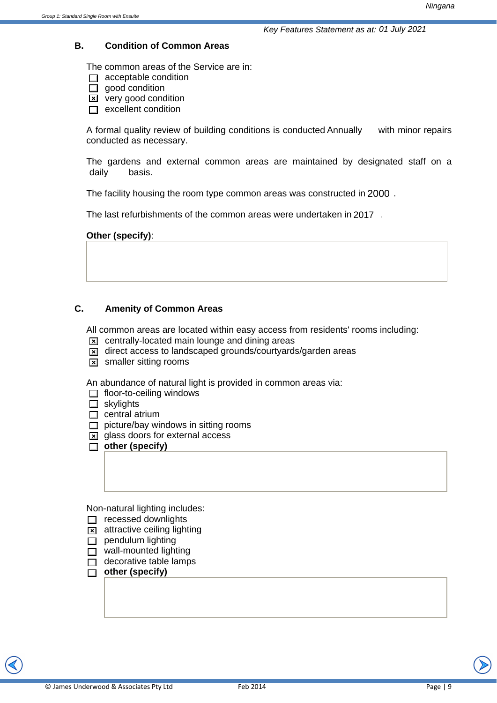#### **B. Condition of Common Areas**

The common areas of the Service are in:

- $\Box$  acceptable condition
- $\Box$  good condition
- $\overline{\mathbf{x}}$  very good condition
- $\Box$  excellent condition

A formal quality review of building conditions is conducted Annually with minor repairs conducted as necessary.

The gardens and external common areas are maintained by designated staff on a hasis. daily

The facility housing the room type common areas was constructed in 2000.

The last refurbishments of the common areas were undertaken in 2017

#### **Other (specify)**:

#### **C. Amenity of Common Areas**

All common areas are located within easy access from residents' rooms including:

- $\boxed{\mathbf{x}}$  centrally-located main lounge and dining areas
- $\boxed{\mathbf{x}}$  direct access to landscaped grounds/courtyards/garden areas
- $\overline{\mathbf{x}}$  smaller sitting rooms

An abundance of natural light is provided in common areas via:

- $\Box$  floor-to-ceiling windows
- $\Box$  skylights
- $\Box$  central atrium
- $\Box$  picture/bay windows in sitting rooms
- $\boxed{\mathbf{x}}$  glass doors for external access
- **D** other (specify)

Non-natural lighting includes:

- $\Box$  recessed downlights
- $\overline{\mathbf{x}}$  attractive ceiling lighting
- $\Box$  pendulum lighting
- $\Box$  wall-mounted lighting
- $\Box$  decorative table lamps
- **0** other (specify)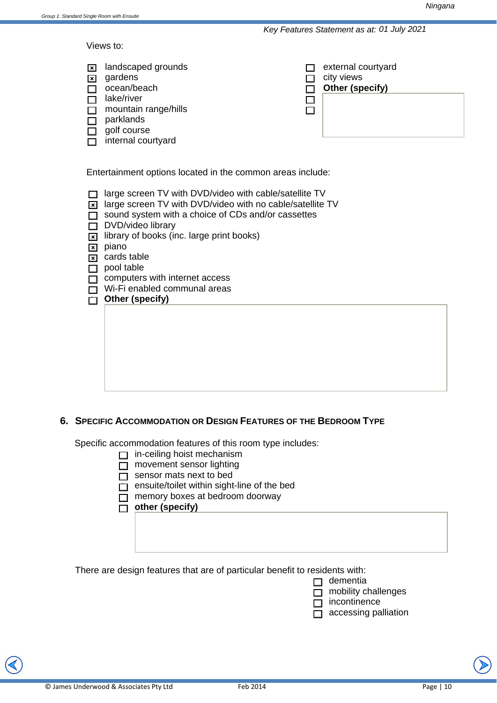Views to:

| $\mathbf{x}$<br>⊠                                                                                                                      | landscaped grounds<br>gardens<br>ocean/beach<br>lake/river<br>mountain range/hills<br>parklands<br>golf course<br>internal courtyard |  | external courtyard<br>city views<br>Other (specify) |
|----------------------------------------------------------------------------------------------------------------------------------------|--------------------------------------------------------------------------------------------------------------------------------------|--|-----------------------------------------------------|
|                                                                                                                                        | Entertainment options located in the common areas include:                                                                           |  |                                                     |
| large screen TV with DVD/video with cable/satellite TV<br>large screen TV with DVD/video with no cable/satellite TV<br>$\vert x \vert$ |                                                                                                                                      |  |                                                     |

- $\Box$  sound system with a choice of CDs and/or cassettes
- $\Box$  DVD/video library
- $\overline{\mathbf{x}}$  library of books (inc. large print books)

 $\boxed{\mathbf{x}}$  piano

 $\boxed{\mathbf{x}}$  cards table

 $\Box$  pool table

 $\Box$  computers with internet access

 $\Box$  Wi-Fi enabled communal areas

|  | <b>Other (specify)</b> |  |  |
|--|------------------------|--|--|
|--|------------------------|--|--|

#### **6. SPECIFIC ACCOMMODATION OR DESIGN FEATURES OF THE BEDROOM TYPE**

Specific accommodation features of this room type includes:

- $\Box$  in-ceiling hoist mechanism
- $\Box$  movement sensor lighting
- $\overline{\Box}$  sensor mats next to bed

 $\Box$  ensuite/toilet within sight-line of the bed

- $\Box$  memory boxes at bedroom doorway
- $\overline{\Box}$  other (specify)

There are design features that are of particular benefit to residents with:

 $\Box$  dementia

 $\overline{\Box}$  mobility challenges

 $\overline{\Box}$  incontinence

 $\overline{\Box}$  accessing palliation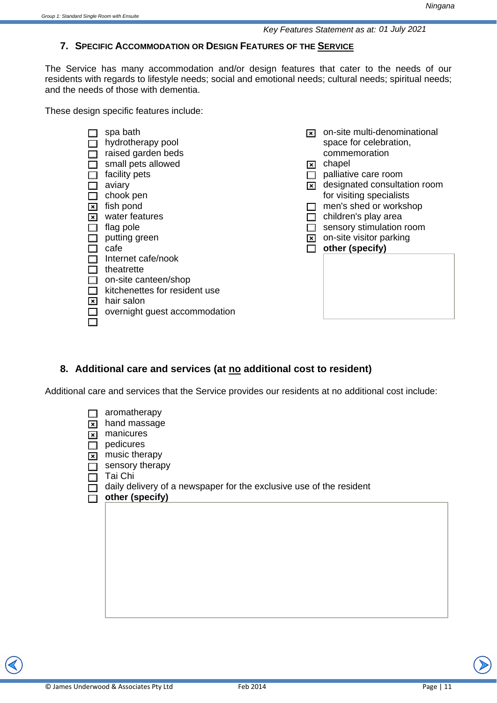#### **7. SPECIFIC ACCOMMODATION OR DESIGN FEATURES OF THE SERVICE**

The Service has many accommodation and/or design features that cater to the needs of our residents with regards to lifestyle needs; social and emotional needs; cultural needs; spiritual needs; and the needs of those with dementia.

These design specific features include:

| $\vert x \vert$<br>$\vert x \vert$<br>I×l | spa bath<br>hydrotherapy pool<br>raised garden beds<br>small pets allowed<br>facility pets<br>aviary<br>chook pen<br>fish pond<br>water features<br>flag pole<br>putting green<br>cafe<br>Internet cafe/nook<br>theatrette<br>on-site canteen/shop<br>kitchenettes for resident use<br>hair salon<br>overnight guest accommodation | $\vert x \vert$<br>I×I<br>l×l<br>$\vert \times \vert$ | on-site multi-denominational<br>space for celebration,<br>commemoration<br>chapel<br>palliative care room<br>designated consultation room<br>for visiting specialists<br>men's shed or workshop<br>children's play area<br>sensory stimulation room<br>on-site visitor parking<br>other (specify) |
|-------------------------------------------|------------------------------------------------------------------------------------------------------------------------------------------------------------------------------------------------------------------------------------------------------------------------------------------------------------------------------------|-------------------------------------------------------|---------------------------------------------------------------------------------------------------------------------------------------------------------------------------------------------------------------------------------------------------------------------------------------------------|
|-------------------------------------------|------------------------------------------------------------------------------------------------------------------------------------------------------------------------------------------------------------------------------------------------------------------------------------------------------------------------------------|-------------------------------------------------------|---------------------------------------------------------------------------------------------------------------------------------------------------------------------------------------------------------------------------------------------------------------------------------------------------|

#### **8. Additional care and services (at no additional cost to resident)**

Additional care and services that the Service provides our residents at no additional cost include:

| $\overline{\mathbf{x}}$ | aromatherapy<br>hand massage                                        |
|-------------------------|---------------------------------------------------------------------|
| $\overline{\mathbf{x}}$ | manicures                                                           |
|                         | pedicures                                                           |
| $\frac{1}{2}$           | music therapy                                                       |
|                         | sensory therapy                                                     |
|                         | Tai Chi                                                             |
|                         | daily delivery of a newspaper for the exclusive use of the resident |
|                         | other (specify)                                                     |
|                         |                                                                     |
|                         |                                                                     |
|                         |                                                                     |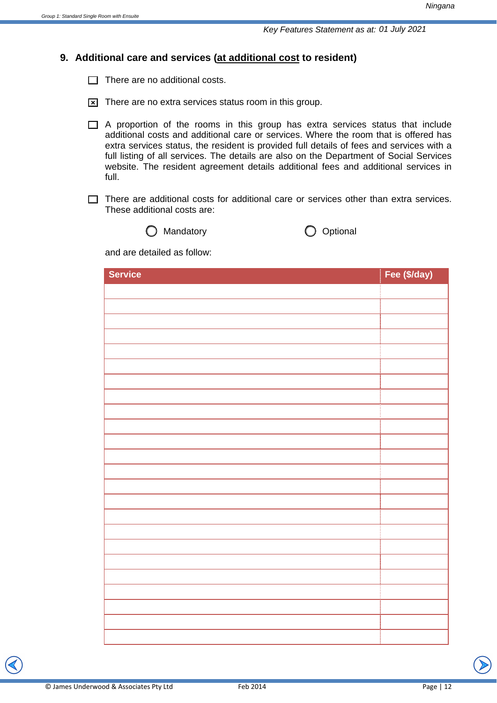#### **9. Additional care and services (at additional cost to resident)**

 $\Box$  There are no additional costs.

- $\boxed{\times}$  There are no extra services status room in this group.
- $\Box$  A proportion of the rooms in this group has extra services status that include additional costs and additional care or services. Where the room that is offered has extra services status, the resident is provided full details of fees and services with a full listing of all services. The details are also on the Department of Social Services website. The resident agreement details additional fees and additional services in full.
- $\Box$  There are additional costs for additional care or services other than extra services. These additional costs are:





and are detailed as follow:

| <b>Service</b> | Fee (\$/day) |
|----------------|--------------|
|                |              |
|                |              |
|                |              |
|                |              |
|                |              |
|                |              |
|                |              |
|                |              |
|                |              |
|                |              |
|                |              |
|                |              |
|                |              |
|                |              |
|                |              |
|                |              |
|                |              |
|                |              |
|                |              |
|                |              |
|                |              |
|                |              |
|                |              |
|                |              |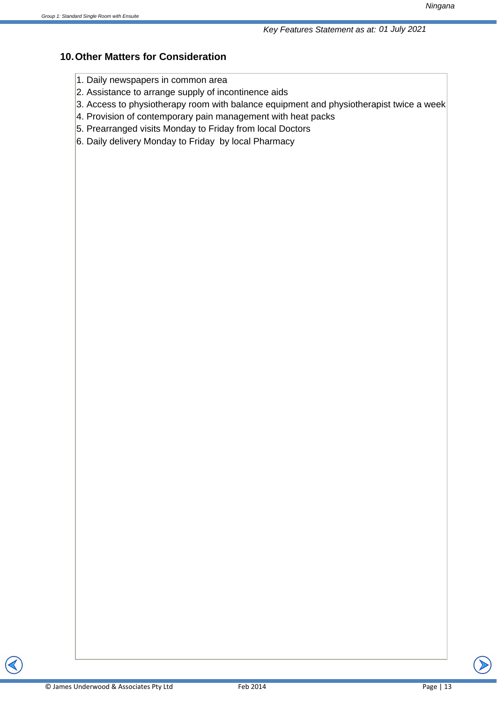#### **10. Other Matters for Consideration**

- 1. Daily newspapers in common area
- 2. Assistance to arrange supply of incontinence aids
- 3. Access to physiotherapy room with balance equipment and physiotherapist twice a week
- 4. Provision of contemporary pain management with heat packs
- 5. Prearranged visits Monday to Friday from local Doctors
- 6. Daily delivery Monday to Friday by local Pharmacy